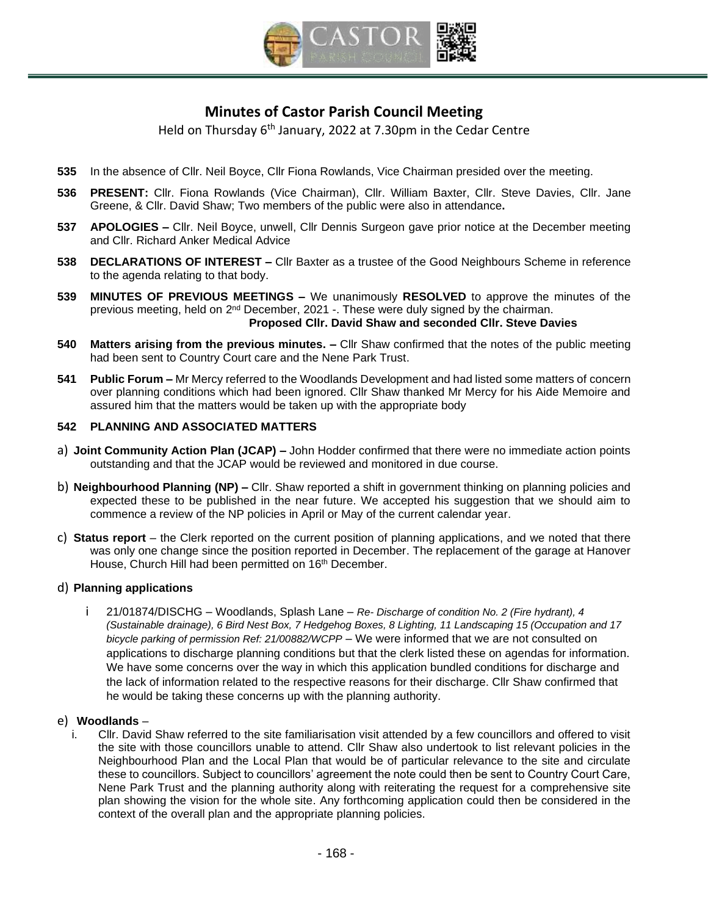

# **Minutes of Castor Parish Council Meeting**

Held on Thursday 6<sup>th</sup> January, 2022 at 7.30pm in the Cedar Centre

- **535** In the absence of Cllr. Neil Boyce, Cllr Fiona Rowlands, Vice Chairman presided over the meeting.
- **536 PRESENT:** Cllr. Fiona Rowlands (Vice Chairman), Cllr. William Baxter, Cllr. Steve Davies, Cllr. Jane Greene, & Cllr. David Shaw; Two members of the public were also in attendance**.**
- **537 APOLOGIES –** Cllr. Neil Boyce, unwell, Cllr Dennis Surgeon gave prior notice at the December meeting and Cllr. Richard Anker Medical Advice
- **538 DECLARATIONS OF INTEREST –** Cllr Baxter as a trustee of the Good Neighbours Scheme in reference to the agenda relating to that body.
- **539 [MINUTES OF PREVIOUS MEETINGS](https://s3-eu-west-1.amazonaws.com/logs.omnibuilder/598d0297-cee8-4444-906d-0399dbc80ec0/2c221843-6c8c-4409-91b4-588eca7f82e9.pdf) –** We unanimously **RESOLVED** to approve the minutes of the previous meeting, held on 2<sup>nd</sup> December, 2021 -. These were duly signed by the chairman. **Proposed Cllr. David Shaw and seconded Cllr. Steve Davies**
- **540 Matters arising from the previous minutes. –** Cllr Shaw confirmed that the notes of the public meeting had been sent to Country Court care and the Nene Park Trust.
- **541 Public Forum –** Mr Mercy referred to the Woodlands Development and had listed some matters of concern over planning conditions which had been ignored. Cllr Shaw thanked Mr Mercy for his Aide Memoire and assured him that the matters would be taken up with the appropriate body

## **542 PLANNING AND ASSOCIATED MATTERS**

- a) **Joint Community Action Plan (JCAP) –** John Hodder confirmed that there were no immediate action points outstanding and that the JCAP would be reviewed and monitored in due course.
- b) **Neighbourhood Planning (NP) –** Cllr. Shaw reported a shift in government thinking on planning policies and expected these to be published in the near future. We accepted his suggestion that we should aim to commence a review of the NP policies in April or May of the current calendar year.
- c) **Status report** the Clerk reported on the current position of planning applications, and we noted that there was only one change since the position reported in December. The replacement of the garage at Hanover House, Church Hill had been permitted on 16<sup>th</sup> December.

#### d) **Planning applications**

i 21/01874/DISCHG – Woodlands, Splash Lane – *Re- Discharge of condition No. 2 (Fire hydrant), 4 (Sustainable drainage), 6 Bird Nest Box, 7 Hedgehog Boxes, 8 Lighting, 11 Landscaping 15 (Occupation and 17 bicycle parking of permission Ref: 21/00882/WCPP* – We were informed that we are not consulted on applications to discharge planning conditions but that the clerk listed these on agendas for information. We have some concerns over the way in which this application bundled conditions for discharge and the lack of information related to the respective reasons for their discharge. Cllr Shaw confirmed that he would be taking these concerns up with the planning authority.

#### e) **Woodlands** –

i. Cllr. David Shaw referred to the site familiarisation visit attended by a few councillors and offered to visit the site with those councillors unable to attend. Cllr Shaw also undertook to list relevant policies in the Neighbourhood Plan and the Local Plan that would be of particular relevance to the site and circulate these to councillors. Subject to councillors' agreement the note could then be sent to Country Court Care, Nene Park Trust and the planning authority along with reiterating the request for a comprehensive site plan showing the vision for the whole site. Any forthcoming application could then be considered in the context of the overall plan and the appropriate planning policies.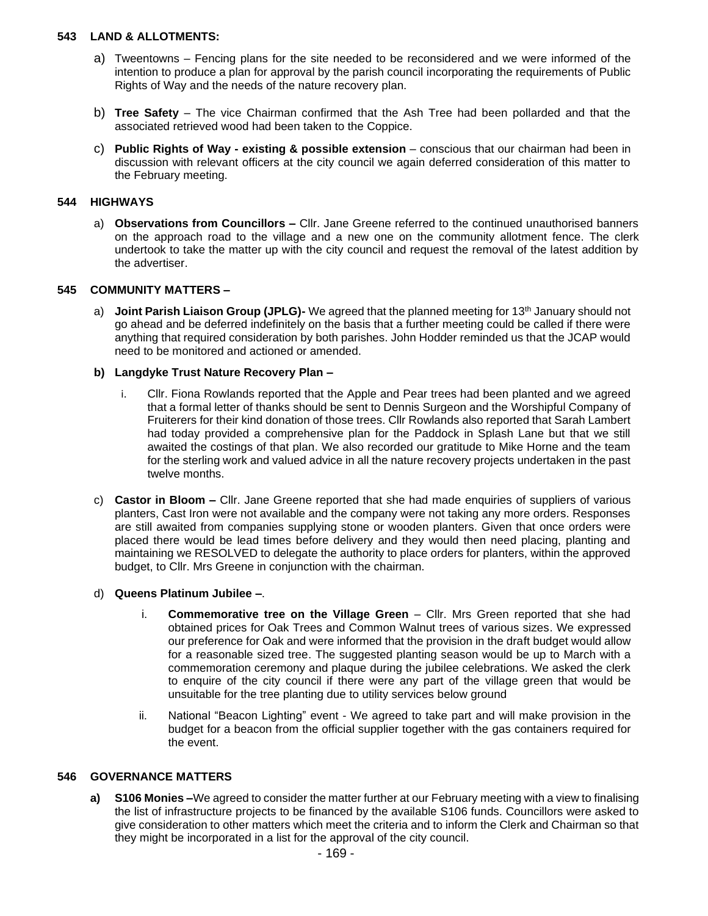#### **543 LAND & ALLOTMENTS:**

- a) Tweentowns Fencing plans for the site needed to be reconsidered and we were informed of the intention to produce a plan for approval by the parish council incorporating the requirements of Public Rights of Way and the needs of the nature recovery plan.
- b) **Tree Safety**  The vice Chairman confirmed that the Ash Tree had been pollarded and that the associated retrieved wood had been taken to the Coppice.
- c) **Public Rights of Way - existing & possible extension**  conscious that our chairman had been in discussion with relevant officers at the city council we again deferred consideration of this matter to the February meeting.

## **544 HIGHWAYS**

a) **Observations from Councillors –** Cllr. Jane Greene referred to the continued unauthorised banners on the approach road to the village and a new one on the community allotment fence. The clerk undertook to take the matter up with the city council and request the removal of the latest addition by the advertiser.

# **545 COMMUNITY MATTERS –**

a) **Joint Parish Liaison Group (JPLG)-** We agreed that the planned meeting for 13th January should not go ahead and be deferred indefinitely on the basis that a further meeting could be called if there were anything that required consideration by both parishes. John Hodder reminded us that the JCAP would need to be monitored and actioned or amended.

## **b) Langdyke Trust Nature Recovery Plan –**

- i. Cllr. Fiona Rowlands reported that the Apple and Pear trees had been planted and we agreed that a formal letter of thanks should be sent to Dennis Surgeon and the Worshipful Company of Fruiterers for their kind donation of those trees. Cllr Rowlands also reported that Sarah Lambert had today provided a comprehensive plan for the Paddock in Splash Lane but that we still awaited the costings of that plan. We also recorded our gratitude to Mike Horne and the team for the sterling work and valued advice in all the nature recovery projects undertaken in the past twelve months.
- c) **Castor in Bloom –** Cllr. Jane Greene reported that she had made enquiries of suppliers of various planters, Cast Iron were not available and the company were not taking any more orders. Responses are still awaited from companies supplying stone or wooden planters. Given that once orders were placed there would be lead times before delivery and they would then need placing, planting and maintaining we RESOLVED to delegate the authority to place orders for planters, within the approved budget, to Cllr. Mrs Greene in conjunction with the chairman.

#### d) **Queens Platinum Jubilee –**.

- i. **Commemorative tree on the Village Green** Cllr. Mrs Green reported that she had obtained prices for Oak Trees and Common Walnut trees of various sizes. We expressed our preference for Oak and were informed that the provision in the draft budget would allow for a reasonable sized tree. The suggested planting season would be up to March with a commemoration ceremony and plaque during the jubilee celebrations. We asked the clerk to enquire of the city council if there were any part of the village green that would be unsuitable for the tree planting due to utility services below ground
- ii. National "Beacon Lighting" event We agreed to take part and will make provision in the budget for a beacon from the official supplier together with the gas containers required for the event.

# **546 GOVERNANCE MATTERS**

**a) S106 Monies –**We agreed to consider the matter further at our February meeting with a view to finalising the list of infrastructure projects to be financed by the available S106 funds. Councillors were asked to give consideration to other matters which meet the criteria and to inform the Clerk and Chairman so that they might be incorporated in a list for the approval of the city council.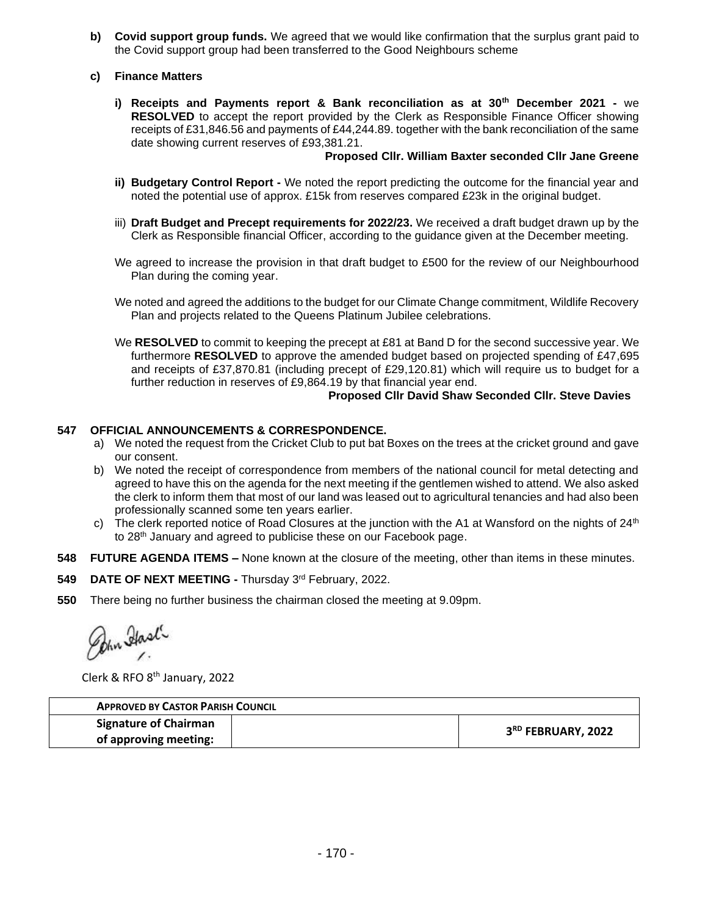- **b) Covid support group funds.** We agreed that we would like confirmation that the surplus grant paid to the Covid support group had been transferred to the Good Neighbours scheme
- **c) Finance Matters**
	- **i) Receipts and Payments report & Bank reconciliation as at 30th December 2021 -** we **RESOLVED** to accept the report provided by the Clerk as Responsible Finance Officer showing receipts of £31,846.56 and payments of £44,244.89. together with the bank reconciliation of the same date showing current reserves of £93,381.21.

### **Proposed Cllr. William Baxter seconded Cllr Jane Greene**

- **ii) Budgetary Control Report -** We noted the report predicting the outcome for the financial year and noted the potential use of approx. £15k from reserves compared £23k in the original budget.
- iii) **Draft Budget and Precept requirements for 2022/23.** We received a draft budget drawn up by the Clerk as Responsible financial Officer, according to the guidance given at the December meeting.
- We agreed to increase the provision in that draft budget to £500 for the review of our Neighbourhood Plan during the coming year.

We noted and agreed the additions to the budget for our Climate Change commitment, Wildlife Recovery Plan and projects related to the Queens Platinum Jubilee celebrations.

We **RESOLVED** to commit to keeping the precept at £81 at Band D for the second successive year. We furthermore **RESOLVED** to approve the amended budget based on projected spending of £47,695 and receipts of £37,870.81 (including precept of £29,120.81) which will require us to budget for a further reduction in reserves of £9,864.19 by that financial year end.

# **Proposed Cllr David Shaw Seconded Cllr. Steve Davies**

## **547 OFFICIAL ANNOUNCEMENTS & CORRESPONDENCE.**

- a) We noted the request from the Cricket Club to put bat Boxes on the trees at the cricket ground and gave our consent.
- b) We noted the receipt of correspondence from members of the national council for metal detecting and agreed to have this on the agenda for the next meeting if the gentlemen wished to attend. We also asked the clerk to inform them that most of our land was leased out to agricultural tenancies and had also been professionally scanned some ten years earlier.
- c) The clerk reported notice of Road Closures at the junction with the A1 at Wansford on the nights of  $24<sup>th</sup>$ to 28th January and agreed to publicise these on our Facebook page.
- **548 FUTURE AGENDA ITEMS –** None known at the closure of the meeting, other than items in these minutes.
- 549 DATE OF NEXT MEETING Thursday 3rd February, 2022.
- **550** There being no further business the chairman closed the meeting at 9.09pm.

Pohn Hask

Clerk & RFO 8<sup>th</sup> January, 2022

| <b>APPROVED BY CASTOR PARISH COUNCIL</b> |  |                                |
|------------------------------------------|--|--------------------------------|
| <b>Signature of Chairman</b>             |  | 3 <sup>RD</sup> FEBRUARY, 2022 |
| of approving meeting:                    |  |                                |